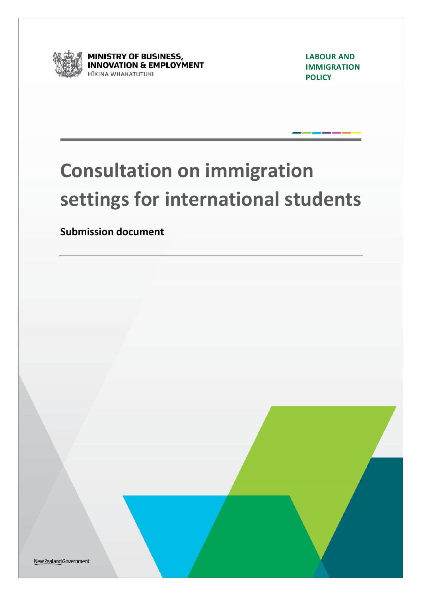

**MINISTRY OF BUSINESS,<br>INNOVATION & EMPLOYMENT ITKINA WHAKATUTUKI** 

**LABOUR AND IMMIGRATION POLICY**

# **Consultation on immigration settings for international students**

**Submission document**

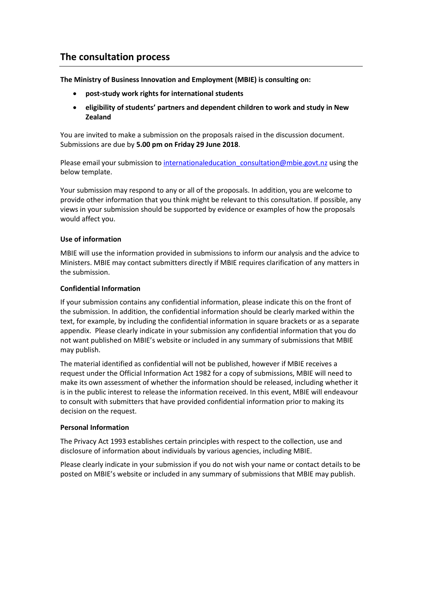## **The consultation process**

**The Ministry of Business Innovation and Employment (MBIE) is consulting on:** 

- **post-study work rights for international students**
- **eligibility of students' partners and dependent children to work and study in New Zealand**

You are invited to make a submission on the proposals raised in the discussion document. Submissions are due by **5.00 pm on Friday 29 June 2018**.

Please email your submission to internationaleducation consultation@mbie.govt.nz using the below template.

Your submission may respond to any or all of the proposals. In addition, you are welcome to provide other information that you think might be relevant to this consultation. If possible, any views in your submission should be supported by evidence or examples of how the proposals would affect you.

#### **Use of information**

MBIE will use the information provided in submissions to inform our analysis and the advice to Ministers. MBIE may contact submitters directly if MBIE requires clarification of any matters in the submission.

#### **Confidential Information**

If your submission contains any confidential information, please indicate this on the front of the submission. In addition, the confidential information should be clearly marked within the text, for example, by including the confidential information in square brackets or as a separate appendix. Please clearly indicate in your submission any confidential information that you do not want published on MBIE's website or included in any summary of submissions that MBIE may publish.

The material identified as confidential will not be published, however if MBIE receives a request under the Official Information Act 1982 for a copy of submissions, MBIE will need to make its own assessment of whether the information should be released, including whether it is in the public interest to release the information received. In this event, MBIE will endeavour to consult with submitters that have provided confidential information prior to making its decision on the request.

#### **Personal Information**

The Privacy Act 1993 establishes certain principles with respect to the collection, use and disclosure of information about individuals by various agencies, including MBIE.

Please clearly indicate in your submission if you do not wish your name or contact details to be posted on MBIE's website or included in any summary of submissions that MBIE may publish.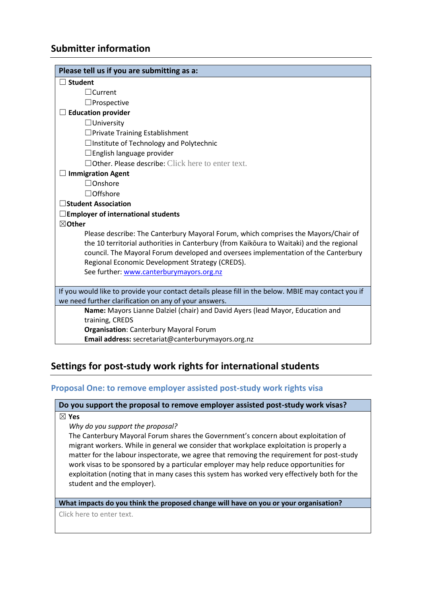## **Submitter information**

| Please tell us if you are submitting as a:                                                                                                                                                                                                                                                                              |
|-------------------------------------------------------------------------------------------------------------------------------------------------------------------------------------------------------------------------------------------------------------------------------------------------------------------------|
| <b>Student</b>                                                                                                                                                                                                                                                                                                          |
| $\Box$ Current                                                                                                                                                                                                                                                                                                          |
| $\Box$ Prospective                                                                                                                                                                                                                                                                                                      |
| <b>Education provider</b>                                                                                                                                                                                                                                                                                               |
| $\Box$ University                                                                                                                                                                                                                                                                                                       |
| $\Box$ Private Training Establishment                                                                                                                                                                                                                                                                                   |
| $\Box$ Institute of Technology and Polytechnic                                                                                                                                                                                                                                                                          |
| $\Box$ English language provider                                                                                                                                                                                                                                                                                        |
| $\Box$ Other. Please describe: Click here to enter text.                                                                                                                                                                                                                                                                |
| <b>Immigration Agent</b>                                                                                                                                                                                                                                                                                                |
| $\Box$ Onshore                                                                                                                                                                                                                                                                                                          |
| □Offshore                                                                                                                                                                                                                                                                                                               |
| <b>Student Association</b>                                                                                                                                                                                                                                                                                              |
| $\square$ Employer of international students                                                                                                                                                                                                                                                                            |
| $\boxtimes$ Other                                                                                                                                                                                                                                                                                                       |
| Please describe: The Canterbury Mayoral Forum, which comprises the Mayors/Chair of<br>the 10 territorial authorities in Canterbury (from Kaikoura to Waitaki) and the regional<br>council. The Mayoral Forum developed and oversees implementation of the Canterbury<br>Regional Economic Development Strategy (CREDS). |
| See further: www.canterburymayors.org.nz                                                                                                                                                                                                                                                                                |
| If you would like to provide your contact details please fill in the below. MBIE may contact you if                                                                                                                                                                                                                     |
| we need further clarification on any of your answers.                                                                                                                                                                                                                                                                   |
| Name: Mayors Lianne Dalziel (chair) and David Ayers (lead Mayor, Education and                                                                                                                                                                                                                                          |
| training, CREDS                                                                                                                                                                                                                                                                                                         |
| <b>Organisation: Canterbury Mayoral Forum</b>                                                                                                                                                                                                                                                                           |
| Email address: secretariat@canterburymayors.org.nz                                                                                                                                                                                                                                                                      |

## **Settings for post-study work rights for international students**

#### **Proposal One: to remove employer assisted post-study work rights visa**

#### **Do you support the proposal to remove employer assisted post-study work visas?**

☒ **Yes**

#### *Why do you support the proposal?*

The Canterbury Mayoral Forum shares the Government's concern about exploitation of migrant workers. While in general we consider that workplace exploitation is properly a matter for the labour inspectorate, we agree that removing the requirement for post-study work visas to be sponsored by a particular employer may help reduce opportunities for exploitation (noting that in many cases this system has worked very effectively both for the student and the employer).

#### **What impacts do you think the proposed change will have on you or your organisation?**

Click here to enter text.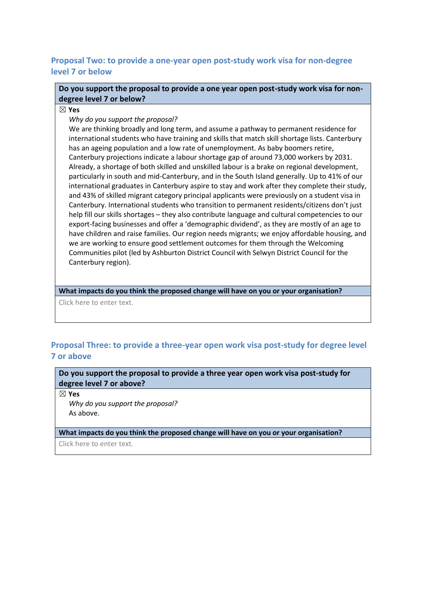### **Proposal Two: to provide a one-year open post-study work visa for non-degree level 7 or below**

**Do you support the proposal to provide a one year open post-study work visa for nondegree level 7 or below?**

☒ **Yes**

*Why do you support the proposal?*

We are thinking broadly and long term, and assume a pathway to permanent residence for international students who have training and skills that match skill shortage lists. Canterbury has an ageing population and a low rate of unemployment. As baby boomers retire, Canterbury projections indicate a labour shortage gap of around 73,000 workers by 2031. Already, a shortage of both skilled and unskilled labour is a brake on regional development, particularly in south and mid-Canterbury, and in the South Island generally. Up to 41% of our international graduates in Canterbury aspire to stay and work after they complete their study, and 43% of skilled migrant category principal applicants were previously on a student visa in Canterbury. International students who transition to permanent residents/citizens don't just help fill our skills shortages – they also contribute language and cultural competencies to our export-facing businesses and offer a 'demographic dividend', as they are mostly of an age to have children and raise families. Our region needs migrants; we enjoy affordable housing, and we are working to ensure good settlement outcomes for them through the Welcoming Communities pilot (led by Ashburton District Council with Selwyn District Council for the Canterbury region).

**What impacts do you think the proposed change will have on you or your organisation?**

Click here to enter text.

## **Proposal Three: to provide a three-year open work visa post-study for degree level 7 or above**

**Do you support the proposal to provide a three year open work visa post-study for degree level 7 or above?** 

☒ **Yes**

*Why do you support the proposal?* As above.

**What impacts do you think the proposed change will have on you or your organisation?**

Click here to enter text.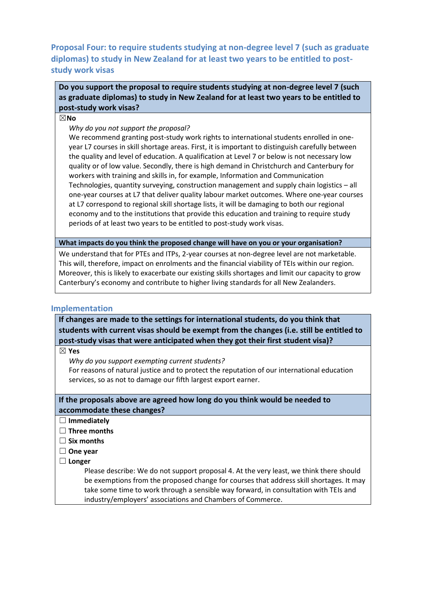**Proposal Four: to require students studying at non-degree level 7 (such as graduate diplomas) to study in New Zealand for at least two years to be entitled to poststudy work visas**

**Do you support the proposal to require students studying at non-degree level 7 (such as graduate diplomas) to study in New Zealand for at least two years to be entitled to post-study work visas?** 

☒**No**

*Why do you not support the proposal?*

We recommend granting post-study work rights to international students enrolled in oneyear L7 courses in skill shortage areas. First, it is important to distinguish carefully between the quality and level of education. A qualification at Level 7 or below is not necessary low quality or of low value. Secondly, there is high demand in Christchurch and Canterbury for workers with training and skills in, for example, Information and Communication Technologies, quantity surveying, construction management and supply chain logistics – all one-year courses at L7 that deliver quality labour market outcomes. Where one-year courses at L7 correspond to regional skill shortage lists, it will be damaging to both our regional economy and to the institutions that provide this education and training to require study periods of at least two years to be entitled to post-study work visas.

**What impacts do you think the proposed change will have on you or your organisation?**

We understand that for PTEs and ITPs, 2-year courses at non-degree level are not marketable. This will, therefore, impact on enrolments and the financial viability of TEIs within our region. Moreover, this is likely to exacerbate our existing skills shortages and limit our capacity to grow Canterbury's economy and contribute to higher living standards for all New Zealanders.

#### **Implementation**

**If changes are made to the settings for international students, do you think that students with current visas should be exempt from the changes (i.e. still be entitled to post-study visas that were anticipated when they got their first student visa)?** 

☒ **Yes**

*Why do you support exempting current students?*

For reasons of natural justice and to protect the reputation of our international education services, so as not to damage our fifth largest export earner.

#### **If the proposals above are agreed how long do you think would be needed to accommodate these changes?**

- ☐ **Immediately**
- ☐ **Three months**
- ☐ **Six months**
- ☐ **One year**
- ☐ **Longer**

Please describe: We do not support proposal 4. At the very least, we think there should be exemptions from the proposed change for courses that address skill shortages. It may take some time to work through a sensible way forward, in consultation with TEIs and industry/employers' associations and Chambers of Commerce.